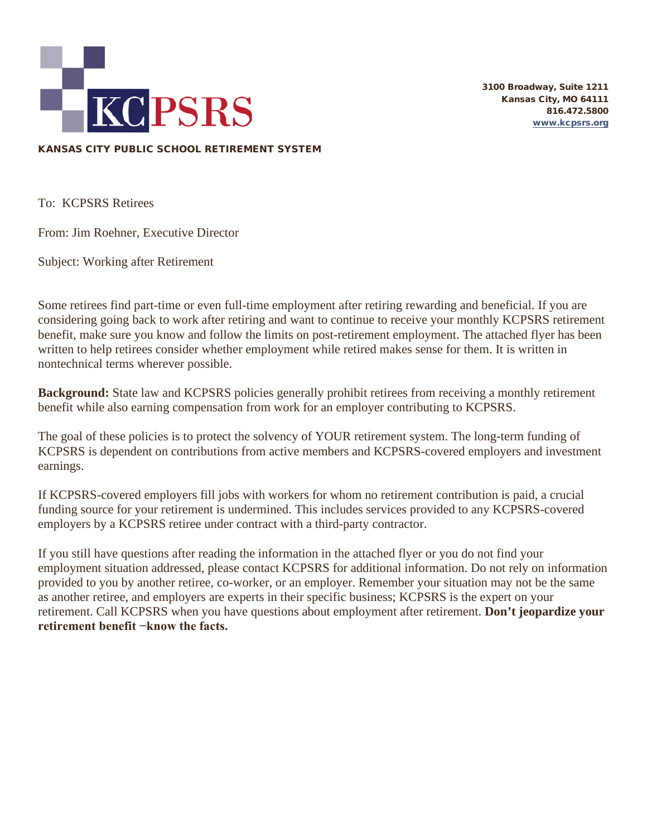

3100 Broadway, Suite 1211 Kansas City, MO 64111 816.472.5800 [www.kcpsrs.org](http://www.kcpsrs.org/)

### KANSAS CITY PUBLIC SCHOOL RETIREMENT SYSTEM

To: KCPSRS Retirees

From: Jim Roehner, Executive Director

Subject: Working after Retirement

Some retirees find part-time or even full-time employment after retiring rewarding and beneficial. If you are considering going back to work after retiring and want to continue to receive your monthly KCPSRS retirement benefit, make sure you know and follow the limits on post-retirement employment. The attached flyer has been written to help retirees consider whether employment while retired makes sense for them. It is written in nontechnical terms wherever possible.

**Background:** State law and KCPSRS policies generally prohibit retirees from receiving a monthly retirement benefit while also earning compensation from work for an employer contributing to KCPSRS.

The goal of these policies is to protect the solvency of YOUR retirement system. The long-term funding of KCPSRS is dependent on contributions from active members and KCPSRS-covered employers and investment earnings.

If KCPSRS-covered employers fill jobs with workers for whom no retirement contribution is paid, a crucial funding source for your retirement is undermined. This includes services provided to any KCPSRS-covered employers by a KCPSRS retiree under contract with a third-party contractor.

If you still have questions after reading the information in the attached flyer or you do not find your employment situation addressed, please contact KCPSRS for additional information. Do not rely on information provided to you by another retiree, co-worker, or an employer. Remember your situation may not be the same as another retiree, and employers are experts in their specific business; KCPSRS is the expert on your retirement. Call KCPSRS when you have questions about employment after retirement. **Don't jeopardize your retirement benefit −know the facts.**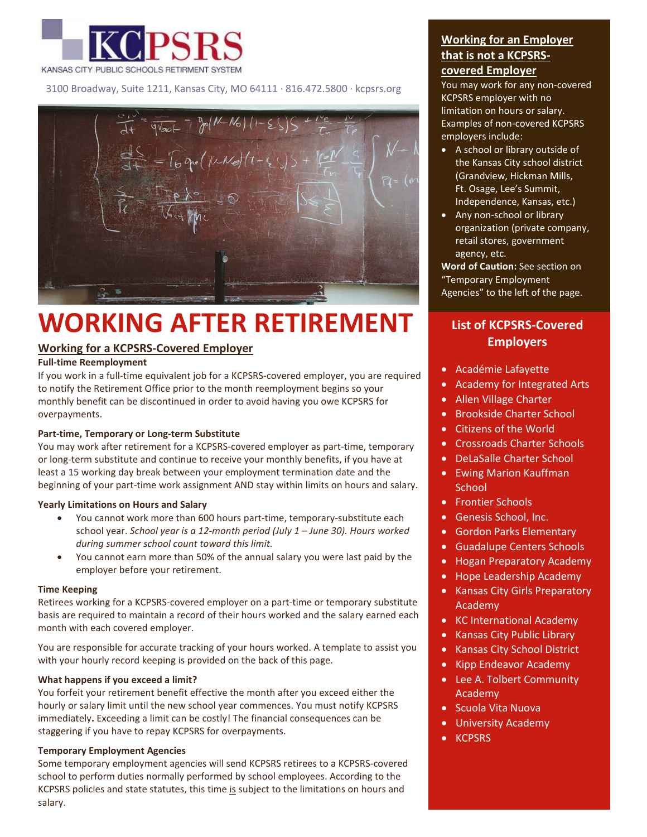

3100 Broadway, Suite 1211, Kansas City, MO 64111 · 816.472.5800 · kcpsrs.org



# **WORKING AFTER RETIREMENT**

## **Working for a KCPSRS-Covered Employer**

#### **Full-time Reemployment**

If you work in a full-time equivalent job for a KCPSRS-covered employer, you are required to notify the Retirement Office prior to the month reemployment begins so your monthly benefit can be discontinued in order to avoid having you owe KCPSRS for overpayments.

#### **Part-time, Temporary or Long-term Substitute**

You may work after retirement for a KCPSRS-covered employer as part-time, temporary or long-term substitute and continue to receive your monthly benefits, if you have at least a 15 working day break between your employment termination date and the beginning of your part-time work assignment AND stay within limits on hours and salary.

#### **Yearly Limitations on Hours and Salary**

- You cannot work more than 600 hours part-time, temporary-substitute each school year. *School year is a 12-month period (July 1 – June 30). Hours worked during summer school count toward this limit.*
- You cannot earn more than 50% of the annual salary you were last paid by the employer before your retirement.

#### **Time Keeping**

Retirees working for a KCPSRS-covered employer on a part-time or temporary substitute basis are required to maintain a record of their hours worked and the salary earned each month with each covered employer.

You are responsible for accurate tracking of your hours worked. A template to assist you with your hourly record keeping is provided on the back of this page.

#### **What happens if you exceed a limit?**

You forfeit your retirement benefit effective the month after you exceed either the hourly or salary limit until the new school year commences. You must notify KCPSRS immediately**.** Exceeding a limit can be costly! The financial consequences can be staggering if you have to repay KCPSRS for overpayments.

#### **Temporary Employment Agencies**

Some temporary employment agencies will send KCPSRS retirees to a KCPSRS-covered school to perform duties normally performed by school employees. According to the KCPSRS policies and state statutes, this time is subject to the limitations on hours and salary.

# **Working for an Employer that is not a KCPSRScovered Employer**

You may work for any non-covered KCPSRS employer with no limitation on hours or salary. Examples of non-covered KCPSRS employers include:

- A school or library outside of the Kansas City school district (Grandview, Hickman Mills, Ft. Osage, Lee's Summit, Independence, Kansas, etc.)
- Any non-school or library organization (private company, retail stores, government agency, etc.

**Word of Caution:** See section on "Temporary Employment Agencies" to the left of the page.

# **List of KCPSRS-Covered Employers**

- Académie Lafayette
- Academy for Integrated Arts
- Allen Village Charter
- Brookside Charter School
- Citizens of the World
- Crossroads Charter Schools
- DeLaSalle Charter School
- Ewing Marion Kauffman **School**
- Frontier Schools
- Genesis School, Inc.
- Gordon Parks Elementary
- Guadalupe Centers Schools
- Hogan Preparatory Academy
- Hope Leadership Academy
- Kansas City Girls Preparatory Academy
- KC International Academy
- Kansas City Public Library
- Kansas City School District
- Kipp Endeavor Academy
- Lee A. Tolbert Community Academy
- Scuola Vita Nuova
- University Academy
- KCPSRS